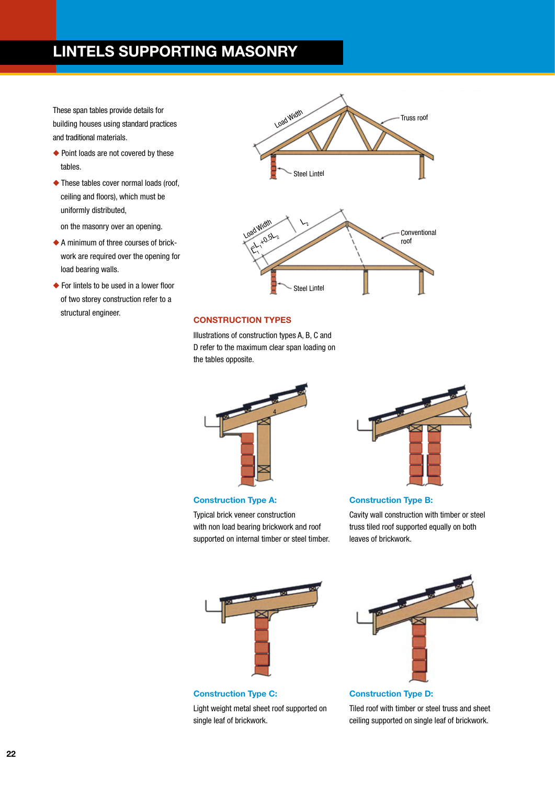### **LINTELS SUPPORTING MASONRY**

These span tables provide details for building houses using standard practices and traditional materials.

- ◆ Point loads are not covered by these tables.
- ◆ These tables cover normal loads (roof, ceiling and floors), which must be uniformly distributed,

on the masonry over an opening.

- ◆ A minimum of three courses of brickwork are required over the opening for load bearing walls.
- ◆ For lintels to be used in a lower floor of two storey construction refer to a structural engineer. **CONSTRUCTION TYPES**



Illustrations of construction types A, B, C and D refer to the maximum clear span loading on the tables opposite.



Typical brick veneer construction with non load bearing brickwork and roof supported on internal timber or steel timber.



#### **Construction Type B:**

Cavity wall construction with timber or steel truss tiled roof supported equally on both leaves of brickwork.



**Construction Type C:** Light weight metal sheet roof supported on single leaf of brickwork.



**Construction Type D:**

Tiled roof with timber or steel truss and sheet ceiling supported on single leaf of brickwork.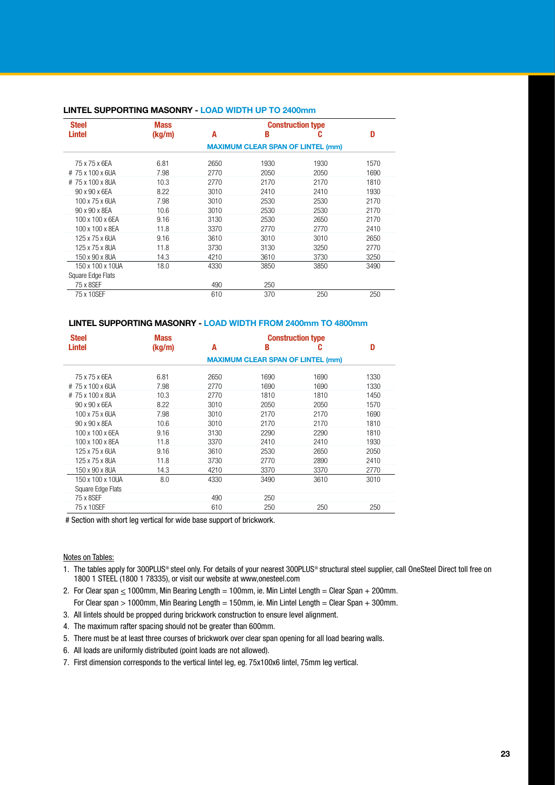| <b>Steel</b>       | <b>Mass</b>                              | <b>Construction type</b> |      |      |      |  |  |
|--------------------|------------------------------------------|--------------------------|------|------|------|--|--|
| Lintel             | (kg/m)                                   | A                        | B    | C    | D    |  |  |
|                    | <b>MAXIMUM CLEAR SPAN OF LINTEL (mm)</b> |                          |      |      |      |  |  |
| 75 x 75 x 6EA      | 6.81                                     | 2650                     | 1930 | 1930 | 1570 |  |  |
| $#$ 75 x 100 x 6UA | 7.98                                     | 2770                     | 2050 | 2050 | 1690 |  |  |
| #75 x 100 x 8UA    | 10.3                                     | 2770                     | 2170 | 2170 | 1810 |  |  |
| 90 x 90 x 6EA      | 8.22                                     | 3010                     | 2410 | 2410 | 1930 |  |  |
| 100 x 75 x 6UA     | 7.98                                     | 3010                     | 2530 | 2530 | 2170 |  |  |
| 90 x 90 x 8EA      | 10.6                                     | 3010                     | 2530 | 2530 | 2170 |  |  |
| 100 x 100 x 6EA    | 9.16                                     | 3130                     | 2530 | 2650 | 2170 |  |  |
| 100 x 100 x 8EA    | 11.8                                     | 3370                     | 2770 | 2770 | 2410 |  |  |
| 125 x 75 x 6UA     | 9.16                                     | 3610                     | 3010 | 3010 | 2650 |  |  |
| 125 x 75 x 8UA     | 11.8                                     | 3730                     | 3130 | 3250 | 2770 |  |  |
| 150 x 90 x 8UA     | 14.3                                     | 4210                     | 3610 | 3730 | 3250 |  |  |
| 150 x 100 x 10UA   | 18.0                                     | 4330                     | 3850 | 3850 | 3490 |  |  |
| Square Edge Flats  |                                          |                          |      |      |      |  |  |
| 75 x 8SEF          |                                          | 490                      | 250  |      |      |  |  |
| 75 x 10SEF         |                                          | 610                      | 370  | 250  | 250  |  |  |

#### **Lintel supporting masonry - LOAD WIDTH UP TO 2400mm**

#### **Lintel supporting masonry - LOAD WIDTH FROM 2400mm TO 4800mm**

| <b>Steel</b>             | <b>Mass</b>                              | <b>Construction type</b> |      |      |      |  |  |
|--------------------------|------------------------------------------|--------------------------|------|------|------|--|--|
| Lintel                   | (kg/m)                                   | A                        | B    | C    | D    |  |  |
|                          | <b>MAXIMUM CLEAR SPAN OF LINTEL (mm)</b> |                          |      |      |      |  |  |
| 75 x 75 x 6EA            | 6.81                                     | 2650                     | 1690 | 1690 | 1330 |  |  |
| #75 x 100 x 6UA          | 7.98                                     | 2770                     | 1690 | 1690 | 1330 |  |  |
| #75 x 100 x 8UA          | 10.3                                     | 2770                     | 1810 | 1810 | 1450 |  |  |
| 90 x 90 x 6EA            | 8.22                                     | 3010                     | 2050 | 2050 | 1570 |  |  |
| 100 x 75 x 6UA           | 7.98                                     | 3010                     | 2170 | 2170 | 1690 |  |  |
| 90 x 90 x 8EA            | 10.6                                     | 3010                     | 2170 | 2170 | 1810 |  |  |
| 100 x 100 x 6EA          | 9.16                                     | 3130                     | 2290 | 2290 | 1810 |  |  |
| 100 x 100 x 8EA          | 11.8                                     | 3370                     | 2410 | 2410 | 1930 |  |  |
| 125 x 75 x 6UA           | 9.16                                     | 3610                     | 2530 | 2650 | 2050 |  |  |
| 125 x 75 x 8UA           | 11.8                                     | 3730                     | 2770 | 2890 | 2410 |  |  |
| 150 x 90 x 8UA           | 14.3                                     | 4210                     | 3370 | 3370 | 2770 |  |  |
| 150 x 100 x 10UA         | 8.0                                      | 4330                     | 3490 | 3610 | 3010 |  |  |
| Square Edge Flats        |                                          |                          |      |      |      |  |  |
| 75 x 8SEF                |                                          | 490                      | 250  |      |      |  |  |
| 75 x 10SEF               |                                          | 610                      | 250  | 250  | 250  |  |  |
| $\cdots$ $\sim$ $\cdots$ | $\cdots$<br>.                            |                          | .    |      |      |  |  |

# Section with short leg vertical for wide base support of brickwork.

Notes on Tables:

- 1. The tables apply for 300PLUS® steel only. For details of your nearest 300PLUS® structural steel supplier, call OneSteel Direct toll free on 1800 1 STEEL (1800 1 78335), or visit our website at www,onesteel.com
- 2. For Clear span  $\leq 1000$ mm, Min Bearing Length = 100mm, ie. Min Lintel Length = Clear Span + 200mm. For Clear span  $> 1000$ mm, Min Bearing Length = 150mm, ie. Min Lintel Length = Clear Span + 300mm.
- 3. All lintels should be propped during brickwork construction to ensure level alignment.
- 4. The maximum rafter spacing should not be greater than 600mm.
- 5. There must be at least three courses of brickwork over clear span opening for all load bearing walls.
- 6. All loads are uniformly distributed (point loads are not allowed).
- 7. First dimension corresponds to the vertical lintel leg, eg. 75x100x6 lintel, 75mm leg vertical.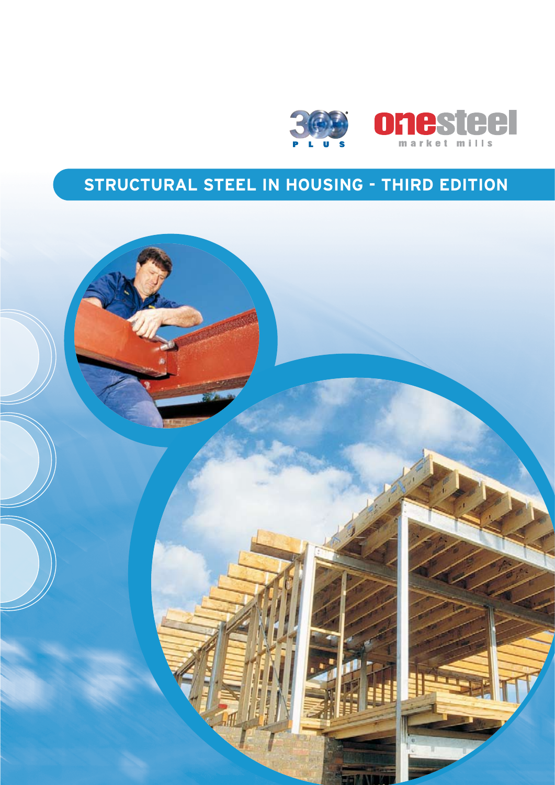

# **Structural Steel in housing - third edition**

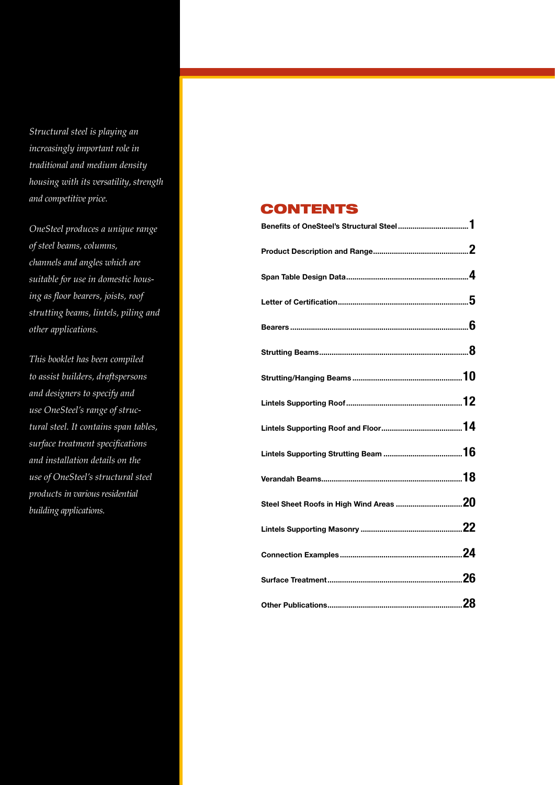*Structural steel is playing an increasingly important role in traditional and medium density housing with its versatility, strength and competitive price.*

*OneSteel produces a unique range of steel beams, columns, channels and angles which are suitable for use in domestic housing as floor bearers, joists, roof strutting beams, lintels, piling and other applications.*

*This booklet has been compiled to assist builders, draftspersons and designers to specify and use OneSteel's range of structural steel. It contains span tables, surface treatment specifications and installation details on the use of OneSteel's structural steel products in various residential building applications.*

### CONTENTS

| Benefits of OneSteel's Structural Steel1 |  |
|------------------------------------------|--|
|                                          |  |
|                                          |  |
|                                          |  |
|                                          |  |
|                                          |  |
|                                          |  |
|                                          |  |
|                                          |  |
|                                          |  |
|                                          |  |
|                                          |  |
|                                          |  |
|                                          |  |
|                                          |  |
|                                          |  |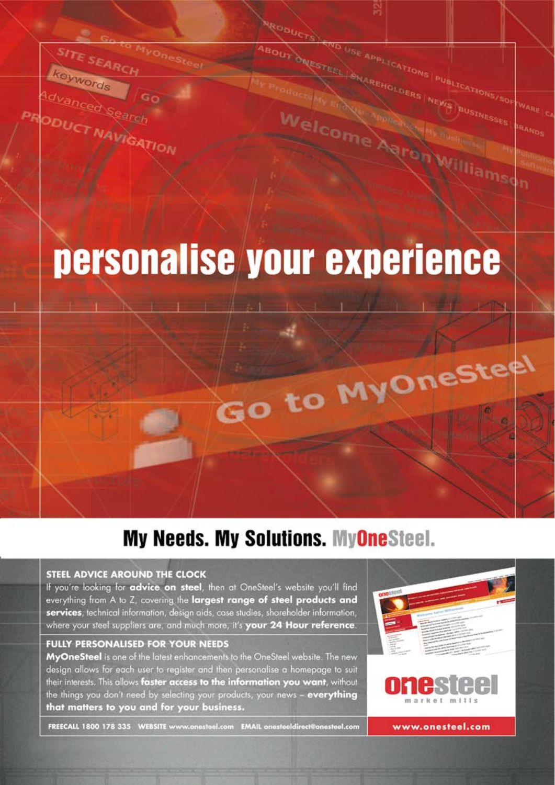

# **My Needs. My Solutions. MyOneSteel.**

#### **STEEL ADVICE AROUND THE CLOCK**

SITE SEARC

Idvanced Search

**ODUCT NAVIGATION** 

keywords

If you're looking for advice on steel, then at OneSteel's website you'll find everything from A to Z, covering the largest range of steel products and services, technical information, design aids, case studies, shareholder information, where your steel suppliers are, and much more, it's your 24 Hour reference.

#### **FULLY PERSONALISED FOR YOUR NEEDS**

MyOneSteel is one of the latest enhancements to the OneSteel website. The new design allows for each user to register and then personalise a homepage to suit their interests. This allows faster access to the information you want, without the things you don't need by selecting your products, your news - everything that matters to you and for your business.



USE APPLICATIONS PUBLICATIONS/SOF

BUSTNE

**Miams** 

SHAREHOLDERS NEWS

ESTEEL

Welcome Agror

FREECALL 1800 178 335 WEBSITE www.onesteel.com EMAIL onesteeldirect@onesteel.com

www.onesteel.com